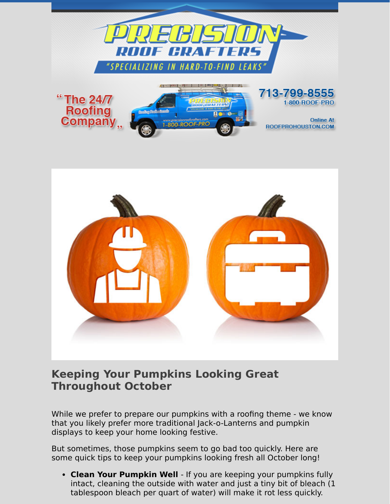

## **Keeping Your Pumpkins Looking Great Throughout October**

While we prefer to prepare our pumpkins with a roofing theme - we know that you likely prefer more traditional Jack-o-Lanterns and pumpkin displays to keep your home looking festive.

But sometimes, those pumpkins seem to go bad too quickly. Here are some quick tips to keep your pumpkins looking fresh all October long!

**Clean Your Pumpkin Well** - If you are keeping your pumpkins fully intact, cleaning the outside with water and just a tiny bit of bleach (1 tablespoon bleach per quart of water) will make it rot less quickly.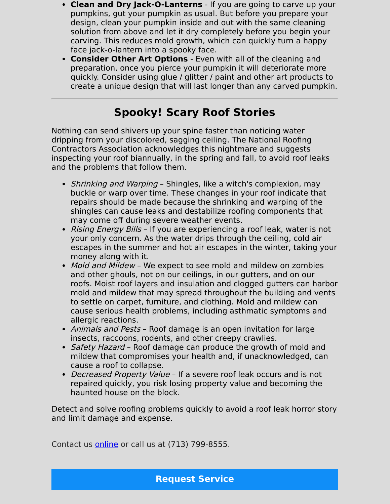- **Clean and Dry Jack-O-Lanterns** If you are going to carve up your pumpkins, gut your pumpkin as usual. But before you prepare your design, clean your pumpkin inside and out with the same cleaning solution from above and let it dry completely before you begin your carving. This reduces mold growth, which can quickly turn a happy face jack-o-lantern into a spooky face.
- **Consider Other Art Options** Even with all of the cleaning and preparation, once you pierce your pumpkin it will deteriorate more quickly. Consider using glue / glitter / paint and other art products to create a unique design that will last longer than any carved pumpkin.

## **Spooky! Scary Roof Stories**

Nothing can send shivers up your spine faster than noticing water dripping from your discolored, sagging ceiling. The National Roofing Contractors Association acknowledges this nightmare and suggests inspecting your roof biannually, in the spring and fall, to avoid roof leaks and the problems that follow them.

- Shrinking and Warping Shingles, like a witch's complexion, may buckle or warp over time. These changes in your roof indicate that repairs should be made because the shrinking and warping of the shingles can cause leaks and destabilize roofing components that may come off during severe weather events.
- Rising Energy Bills If you are experiencing a roof leak, water is not your only concern. As the water drips through the ceiling, cold air escapes in the summer and hot air escapes in the winter, taking your money along with it.
- Mold and Mildew We expect to see mold and mildew on zombies and other ghouls, not on our ceilings, in our gutters, and on our roofs. Moist roof layers and insulation and clogged gutters can harbor mold and mildew that may spread throughout the building and vents to settle on carpet, furniture, and clothing. Mold and mildew can cause serious health problems, including asthmatic symptoms and allergic reactions.
- Animals and Pests Roof damage is an open invitation for large insects, raccoons, rodents, and other creepy crawlies.
- Safety Hazard Roof damage can produce the growth of mold and mildew that compromises your health and, if unacknowledged, can cause a roof to collapse.
- Decreased Property Value If a severe roof leak occurs and is not repaired quickly, you risk losing property value and becoming the haunted house on the block.

Detect and solve roofing problems quickly to avoid a roof leak horror story and limit damage and expense.

Contact us [online](https://www.precisionroofcrafters.com/contact-us.php) or call us at [\(713\) 799-8555.](tel:+17137998555)

**[Request Service](https://www.precisionroofcrafters.com/contact-us.php)**